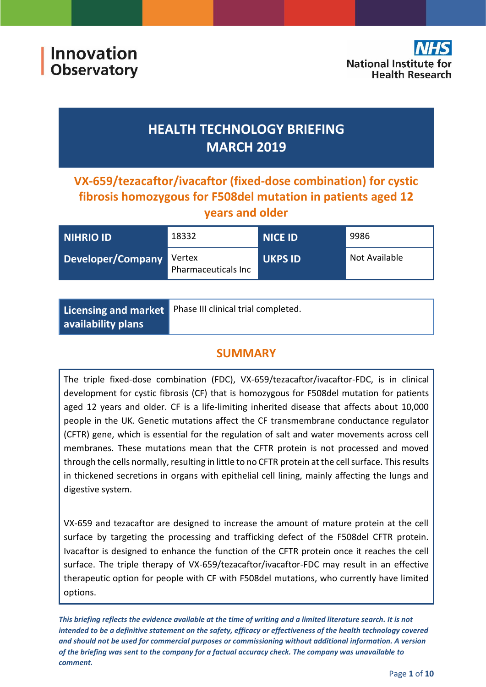

# **HEALTH TECHNOLOGY BRIEFING MARCH 2019**

**VX-659/tezacaftor/ivacaftor (fixed-dose combination) for cystic fibrosis homozygous for F508del mutation in patients aged 12 years and older**

| NIHRIO ID         | 18332                         | <b>NICE ID</b> | 9986          |
|-------------------|-------------------------------|----------------|---------------|
| Developer/Company | Vertex<br>Pharmaceuticals Inc | <b>UKPS ID</b> | Not Available |

|                           | Licensing and market Phase III clinical trial completed. |
|---------------------------|----------------------------------------------------------|
| $\mid$ availability plans |                                                          |

# **SUMMARY**

The triple fixed-dose combination (FDC), VX-659/tezacaftor/ivacaftor-FDC, is in clinical development for cystic fibrosis (CF) that is homozygous for F508del mutation for patients aged 12 years and older. CF is a life-limiting inherited disease that affects about 10,000 people in the UK. Genetic mutations affect the CF transmembrane conductance regulator (CFTR) gene, which is essential for the regulation of salt and water movements across cell membranes. These mutations mean that the CFTR protein is not processed and moved through the cells normally, resulting in little to no CFTR protein at the cell surface. This results in thickened secretions in organs with epithelial cell lining, mainly affecting the lungs and digestive system.

VX-659 and tezacaftor are designed to increase the amount of mature protein at the cell surface by targeting the processing and trafficking defect of the F508del CFTR protein. Ivacaftor is designed to enhance the function of the CFTR protein once it reaches the cell surface. The triple therapy of VX-659/tezacaftor/ivacaftor-FDC may result in an effective therapeutic option for people with CF with F508del mutations, who currently have limited options.

*This briefing reflects the evidence available at the time of writing and a limited literature search. It is not intended to be a definitive statement on the safety, efficacy or effectiveness of the health technology covered and should not be used for commercial purposes or commissioning without additional information. A version of the briefing was sent to the company for a factual accuracy check. The company was unavailable to comment.*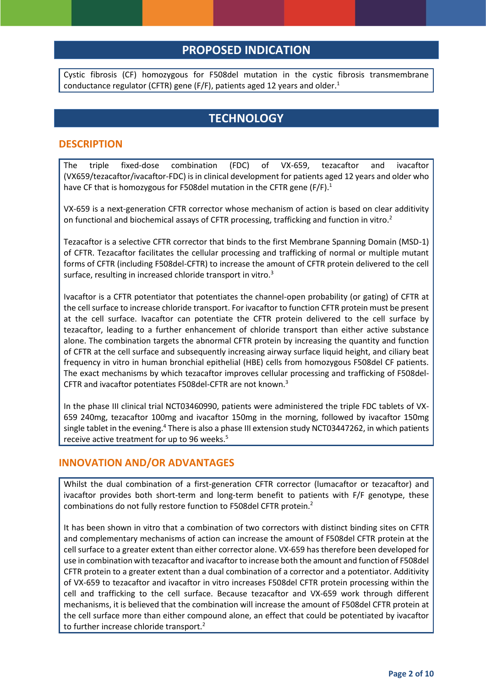## **PROPOSED INDICATION**

Cystic fibrosis (CF) homozygous for F508del mutation in the cystic fibrosis transmembrane conductance regulator (CFTR) gene (F/F), patients aged 12 years and older.<sup>1</sup>

# **TECHNOLOGY**

### **DESCRIPTION**

The triple fixed-dose combination (FDC) of VX-659, tezacaftor and ivacaftor (VX659/tezacaftor/ivacaftor-FDC) is in clinical development for patients aged 12 years and older who have CF that is homozygous for F508del mutation in the CFTR gene (F/F).<sup>1</sup>

VX-659 is a next-generation CFTR corrector whose mechanism of action is based on clear additivity on functional and biochemical assays of CFTR processing, trafficking and function in vitro.<sup>2</sup>

Tezacaftor is a selective CFTR corrector that binds to the first Membrane Spanning Domain (MSD-1) of CFTR. Tezacaftor facilitates the cellular processing and trafficking of normal or multiple mutant forms of CFTR (including F508del-CFTR) to increase the amount of CFTR protein delivered to the cell surface, resulting in increased chloride transport in vitro.<sup>3</sup>

Ivacaftor is a CFTR potentiator that potentiates the channel-open probability (or gating) of CFTR at the cell surface to increase chloride transport. For ivacaftor to function CFTR protein must be present at the cell surface. Ivacaftor can potentiate the CFTR protein delivered to the cell surface by tezacaftor, leading to a further enhancement of chloride transport than either active substance alone. The combination targets the abnormal CFTR protein by increasing the quantity and function of CFTR at the cell surface and subsequently increasing airway surface liquid height, and ciliary beat frequency in vitro in human bronchial epithelial (HBE) cells from homozygous F508del CF patients. The exact mechanisms by which tezacaftor improves cellular processing and trafficking of F508del-CFTR and ivacaftor potentiates F508del-CFTR are not known.<sup>3</sup>

In the phase III clinical trial NCT03460990, patients were administered the triple FDC tablets of VX-659 240mg, tezacaftor 100mg and ivacaftor 150mg in the morning, followed by ivacaftor 150mg single tablet in the evening.<sup>4</sup> There is also a phase III extension study NCT03447262, in which patients receive active treatment for up to 96 weeks.<sup>5</sup>

#### **INNOVATION AND/OR ADVANTAGES**

Whilst the dual combination of a first-generation CFTR corrector (lumacaftor or tezacaftor) and ivacaftor provides both short-term and long-term benefit to patients with F/F genotype, these combinations do not fully restore function to F508del CFTR protein.<sup>2</sup>

It has been shown in vitro that a combination of two correctors with distinct binding sites on CFTR and complementary mechanisms of action can increase the amount of F508del CFTR protein at the cell surface to a greater extent than either corrector alone. VX-659 has therefore been developed for use in combination with tezacaftor and ivacaftor to increase both the amount and function of F508del CFTR protein to a greater extent than a dual combination of a corrector and a potentiator. Additivity of VX-659 to tezacaftor and ivacaftor in vitro increases F508del CFTR protein processing within the cell and trafficking to the cell surface. Because tezacaftor and VX-659 work through different mechanisms, it is believed that the combination will increase the amount of F508del CFTR protein at the cell surface more than either compound alone, an effect that could be potentiated by ivacaftor to further increase chloride transport.<sup>2</sup>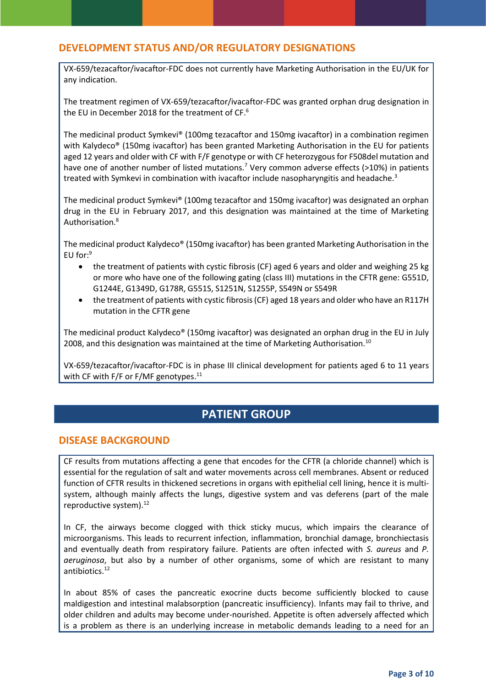## **DEVELOPMENT STATUS AND/OR REGULATORY DESIGNATIONS**

VX-659/tezacaftor/ivacaftor-FDC does not currently have Marketing Authorisation in the EU/UK for any indication.

The treatment regimen of VX-659/tezacaftor/ivacaftor-FDC was granted orphan drug designation in the EU in December 2018 for the treatment of CF. $^6$ 

The medicinal product Symkevi® (100mg tezacaftor and 150mg ivacaftor) in a combination regimen with Kalydeco® (150mg ivacaftor) has been granted Marketing Authorisation in the EU for patients aged 12 years and older with CF with F/F genotype or with CF heterozygous for F508del mutation and have one of another number of listed mutations.<sup>7</sup> Very common adverse effects (>10%) in patients treated with Symkevi in combination with ivacaftor include nasopharyngitis and headache.<sup>3</sup>

The medicinal product Symkevi® (100mg tezacaftor and 150mg ivacaftor) was designated an orphan drug in the EU in February 2017, and this designation was maintained at the time of Marketing Authorisation.<sup>8</sup>

The medicinal product Kalydeco® (150mg ivacaftor) has been granted Marketing Authorisation in the EU for: $9$ 

- the treatment of patients with cystic fibrosis (CF) aged 6 years and older and weighing 25 kg or more who have one of the following gating (class III) mutations in the CFTR gene: G551D, G1244E, G1349D, G178R, G551S, S1251N, S1255P, S549N or S549R
- the treatment of patients with cystic fibrosis (CF) aged 18 years and older who have an R117H mutation in the CFTR gene

The medicinal product Kalydeco® (150mg ivacaftor) was designated an orphan drug in the EU in July 2008, and this designation was maintained at the time of Marketing Authorisation.<sup>10</sup>

VX-659/tezacaftor/ivacaftor-FDC is in phase III clinical development for patients aged 6 to 11 years with CF with F/F or F/MF genotypes.<sup>11</sup>

## **PATIENT GROUP**

#### **DISEASE BACKGROUND**

CF results from mutations affecting a gene that encodes for the CFTR (a chloride channel) which is essential for the regulation of salt and water movements across cell membranes. Absent or reduced function of CFTR results in thickened secretions in organs with epithelial cell lining, hence it is multisystem, although mainly affects the lungs, digestive system and vas deferens (part of the male reproductive system).<sup>12</sup>

In CF, the airways become clogged with thick sticky mucus, which impairs the clearance of microorganisms. This leads to recurrent infection, inflammation, bronchial damage, bronchiectasis and eventually death from respiratory failure. Patients are often infected with *S. aureus* and *P. aeruginosa*, but also by a number of other organisms, some of which are resistant to many antibiotics.<sup>12</sup>

In about 85% of cases the pancreatic exocrine ducts become sufficiently blocked to cause maldigestion and intestinal malabsorption (pancreatic insufficiency). Infants may fail to thrive, and older children and adults may become under-nourished. Appetite is often adversely affected which is a problem as there is an underlying increase in metabolic demands leading to a need for an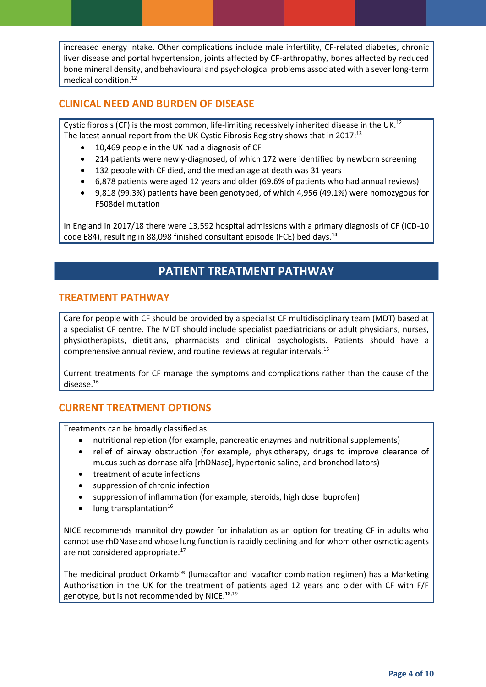increased energy intake. Other complications include male infertility, CF-related diabetes, chronic liver disease and portal hypertension, joints affected by CF-arthropathy, bones affected by reduced bone mineral density, and behavioural and psychological problems associated with a sever long-term medical condition.<sup>12</sup>

### **CLINICAL NEED AND BURDEN OF DISEASE**

Cystic fibrosis (CF) is the most common, life-limiting recessively inherited disease in the UK.<sup>12</sup> The latest annual report from the UK Cystic Fibrosis Registry shows that in 2017:<sup>13</sup>

- 10,469 people in the UK had a diagnosis of CF
- 214 patients were newly-diagnosed, of which 172 were identified by newborn screening
- 132 people with CF died, and the median age at death was 31 years
- 6,878 patients were aged 12 years and older (69.6% of patients who had annual reviews)
- 9,818 (99.3%) patients have been genotyped, of which 4,956 (49.1%) were homozygous for F508del mutation

In England in 2017/18 there were 13,592 hospital admissions with a primary diagnosis of CF (ICD-10 code E84), resulting in 88,098 finished consultant episode (FCE) bed days.<sup>14</sup>

# **PATIENT TREATMENT PATHWAY**

#### **TREATMENT PATHWAY**

Care for people with CF should be provided by a specialist CF multidisciplinary team (MDT) based at a specialist CF centre. The MDT should include specialist paediatricians or adult physicians, nurses, physiotherapists, dietitians, pharmacists and clinical psychologists. Patients should have a comprehensive annual review, and routine reviews at regular intervals.<sup>15</sup>

Current treatments for CF manage the symptoms and complications rather than the cause of the disease. 16

#### **CURRENT TREATMENT OPTIONS**

Treatments can be broadly classified as:

- nutritional repletion (for example, pancreatic enzymes and nutritional supplements)
- relief of airway obstruction (for example, physiotherapy, drugs to improve clearance of mucus such as dornase alfa [rhDNase], hypertonic saline, and bronchodilators)
- treatment of acute infections
- suppression of chronic infection
- suppression of inflammation (for example, steroids, high dose ibuprofen)
- lung transplantation $16$

NICE recommends mannitol dry powder for inhalation as an option for treating CF in adults who cannot use rhDNase and whose lung function is rapidly declining and for whom other osmotic agents are not considered appropriate.<sup>17</sup>

The medicinal product Orkambi® (lumacaftor and ivacaftor combination regimen) has a Marketing Authorisation in the UK for the treatment of patients aged 12 years and older with CF with F/F genotype, but is not recommended by NICE.<sup>18,19</sup>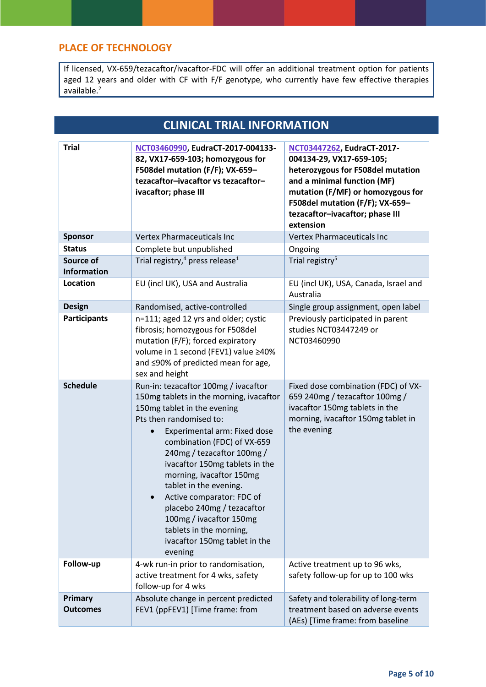## **PLACE OF TECHNOLOGY**

If licensed, VX-659/tezacaftor/ivacaftor-FDC will offer an additional treatment option for patients aged 12 years and older with CF with F/F genotype, who currently have few effective therapies available.<sup>2</sup>

# **CLINICAL TRIAL INFORMATION**

| <b>Trial</b>                    | NCT03460990, EudraCT-2017-004133-<br>82, VX17-659-103; homozygous for<br>F508del mutation (F/F); VX-659-<br>tezacaftor-ivacaftor vs tezacaftor-<br>ivacaftor; phase III                                                                                                                                                                                                                                                                                                                     | NCT03447262, EudraCT-2017-<br>004134-29, VX17-659-105;<br>heterozygous for F508del mutation<br>and a minimal function (MF)<br>mutation (F/MF) or homozygous for<br>F508del mutation (F/F); VX-659-<br>tezacaftor-ivacaftor; phase III<br>extension |
|---------------------------------|---------------------------------------------------------------------------------------------------------------------------------------------------------------------------------------------------------------------------------------------------------------------------------------------------------------------------------------------------------------------------------------------------------------------------------------------------------------------------------------------|----------------------------------------------------------------------------------------------------------------------------------------------------------------------------------------------------------------------------------------------------|
| <b>Sponsor</b>                  | <b>Vertex Pharmaceuticals Inc</b>                                                                                                                                                                                                                                                                                                                                                                                                                                                           | <b>Vertex Pharmaceuticals Inc</b>                                                                                                                                                                                                                  |
| <b>Status</b>                   | Complete but unpublished                                                                                                                                                                                                                                                                                                                                                                                                                                                                    | Ongoing                                                                                                                                                                                                                                            |
| Source of<br><b>Information</b> | Trial registry, <sup>4</sup> press release <sup>1</sup>                                                                                                                                                                                                                                                                                                                                                                                                                                     | Trial registry <sup>5</sup>                                                                                                                                                                                                                        |
| Location                        | EU (incl UK), USA and Australia                                                                                                                                                                                                                                                                                                                                                                                                                                                             | EU (incl UK), USA, Canada, Israel and<br>Australia                                                                                                                                                                                                 |
| <b>Design</b>                   | Randomised, active-controlled                                                                                                                                                                                                                                                                                                                                                                                                                                                               | Single group assignment, open label                                                                                                                                                                                                                |
| <b>Participants</b>             | n=111; aged 12 yrs and older; cystic<br>fibrosis; homozygous for F508del<br>mutation (F/F); forced expiratory<br>volume in 1 second (FEV1) value ≥40%<br>and ≤90% of predicted mean for age,<br>sex and height                                                                                                                                                                                                                                                                              | Previously participated in parent<br>studies NCT03447249 or<br>NCT03460990                                                                                                                                                                         |
| <b>Schedule</b>                 | Run-in: tezacaftor 100mg / ivacaftor<br>150mg tablets in the morning, ivacaftor<br>150mg tablet in the evening<br>Pts then randomised to:<br>Experimental arm: Fixed dose<br>combination (FDC) of VX-659<br>240mg / tezacaftor 100mg /<br>ivacaftor 150mg tablets in the<br>morning, ivacaftor 150mg<br>tablet in the evening.<br>Active comparator: FDC of<br>placebo 240mg / tezacaftor<br>100mg / ivacaftor 150mg<br>tablets in the morning,<br>ivacaftor 150mg tablet in the<br>evening | Fixed dose combination (FDC) of VX-<br>659 240mg / tezacaftor 100mg /<br>ivacaftor 150mg tablets in the<br>morning, ivacaftor 150mg tablet in<br>the evening                                                                                       |
| Follow-up                       | 4-wk run-in prior to randomisation,<br>active treatment for 4 wks, safety<br>follow-up for 4 wks                                                                                                                                                                                                                                                                                                                                                                                            | Active treatment up to 96 wks,<br>safety follow-up for up to 100 wks                                                                                                                                                                               |
| Primary<br><b>Outcomes</b>      | Absolute change in percent predicted<br>FEV1 (ppFEV1) [Time frame: from                                                                                                                                                                                                                                                                                                                                                                                                                     | Safety and tolerability of long-term<br>treatment based on adverse events<br>(AEs) [Time frame: from baseline                                                                                                                                      |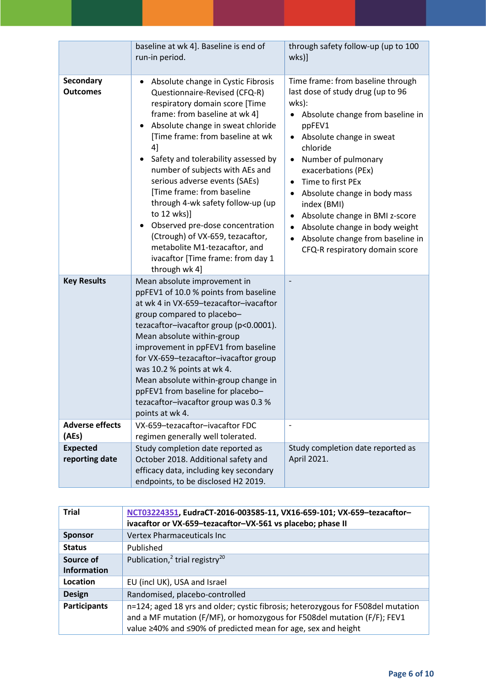|                                     | baseline at wk 4]. Baseline is end of<br>run-in period.                                                                                                                                                                                                                                                                                                                                                                                                                                                                                                                                    | through safety follow-up (up to 100<br>wks]                                                                                                                                                                                                                                                                                                                                                                                                                              |
|-------------------------------------|--------------------------------------------------------------------------------------------------------------------------------------------------------------------------------------------------------------------------------------------------------------------------------------------------------------------------------------------------------------------------------------------------------------------------------------------------------------------------------------------------------------------------------------------------------------------------------------------|--------------------------------------------------------------------------------------------------------------------------------------------------------------------------------------------------------------------------------------------------------------------------------------------------------------------------------------------------------------------------------------------------------------------------------------------------------------------------|
| <b>Secondary</b><br><b>Outcomes</b> | Absolute change in Cystic Fibrosis<br>Questionnaire-Revised (CFQ-R)<br>respiratory domain score [Time<br>frame: from baseline at wk 4]<br>Absolute change in sweat chloride<br>٠<br>[Time frame: from baseline at wk<br>4]<br>Safety and tolerability assessed by<br>number of subjects with AEs and<br>serious adverse events (SAEs)<br>[Time frame: from baseline<br>through 4-wk safety follow-up (up<br>to 12 wks)]<br>Observed pre-dose concentration<br>٠<br>(Ctrough) of VX-659, tezacaftor,<br>metabolite M1-tezacaftor, and<br>ivacaftor [Time frame: from day 1<br>through wk 4] | Time frame: from baseline through<br>last dose of study drug (up to 96<br>wks):<br>Absolute change from baseline in<br>ppFEV1<br>Absolute change in sweat<br>$\bullet$<br>chloride<br>Number of pulmonary<br>exacerbations (PEx)<br>Time to first PEx<br>$\bullet$<br>Absolute change in body mass<br>index (BMI)<br>Absolute change in BMI z-score<br>$\bullet$<br>Absolute change in body weight<br>Absolute change from baseline in<br>CFQ-R respiratory domain score |
| <b>Key Results</b>                  | Mean absolute improvement in<br>ppFEV1 of 10.0 % points from baseline<br>at wk 4 in VX-659-tezacaftor-ivacaftor<br>group compared to placebo-<br>tezacaftor-ivacaftor group (p<0.0001).<br>Mean absolute within-group<br>improvement in ppFEV1 from baseline<br>for VX-659-tezacaftor-ivacaftor group<br>was 10.2 % points at wk 4.<br>Mean absolute within-group change in<br>ppFEV1 from baseline for placebo-<br>tezacaftor-ivacaftor group was 0.3 %<br>points at wk 4.                                                                                                                |                                                                                                                                                                                                                                                                                                                                                                                                                                                                          |
| <b>Adverse effects</b><br>(AEs)     | VX-659-tezacaftor-ivacaftor FDC<br>regimen generally well tolerated.                                                                                                                                                                                                                                                                                                                                                                                                                                                                                                                       | $\overline{\phantom{a}}$                                                                                                                                                                                                                                                                                                                                                                                                                                                 |
| <b>Expected</b><br>reporting date   | Study completion date reported as<br>October 2018. Additional safety and<br>efficacy data, including key secondary<br>endpoints, to be disclosed H2 2019.                                                                                                                                                                                                                                                                                                                                                                                                                                  | Study completion date reported as<br>April 2021.                                                                                                                                                                                                                                                                                                                                                                                                                         |

| <b>Trial</b>                    | NCT03224351, EudraCT-2016-003585-11, VX16-659-101; VX-659-tezacaftor-<br>ivacaftor or VX-659-tezacaftor-VX-561 vs placebo; phase II                                                                                           |
|---------------------------------|-------------------------------------------------------------------------------------------------------------------------------------------------------------------------------------------------------------------------------|
| <b>Sponsor</b>                  | Vertex Pharmaceuticals Inc                                                                                                                                                                                                    |
| <b>Status</b>                   | Published                                                                                                                                                                                                                     |
| Source of<br><b>Information</b> | Publication, <sup>2</sup> trial registry <sup>20</sup>                                                                                                                                                                        |
| Location                        | EU (incl UK), USA and Israel                                                                                                                                                                                                  |
| <b>Design</b>                   | Randomised, placebo-controlled                                                                                                                                                                                                |
| <b>Participants</b>             | n=124; aged 18 yrs and older; cystic fibrosis; heterozygous for F508del mutation<br>and a MF mutation (F/MF), or homozygous for F508del mutation (F/F); FEV1<br>value ≥40% and ≤90% of predicted mean for age, sex and height |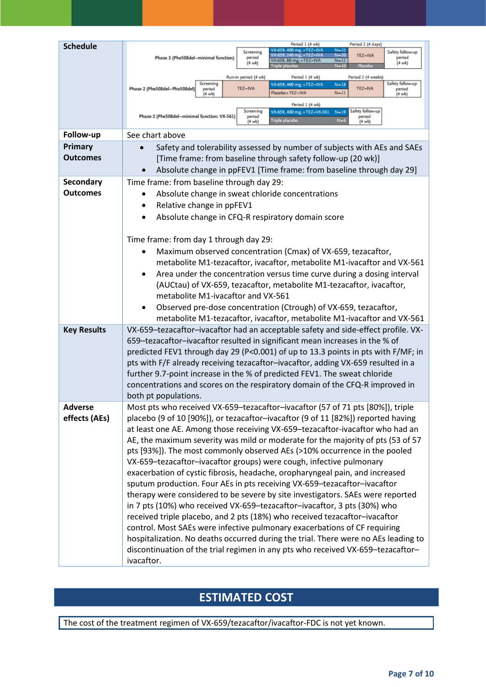| <b>Schedule</b>    | Period 2 (4 days)<br>Period 1 (4 wk)                                                                                                                                                                                                                                                                  |
|--------------------|-------------------------------------------------------------------------------------------------------------------------------------------------------------------------------------------------------------------------------------------------------------------------------------------------------|
|                    | /X-659, 400 mg, +TEZ-IV/<br>$N = 22$<br>Safety follow-up<br><b>Screening</b><br>VX-659, 240 mg, +TEZ-IVA<br>$N = 20$<br>TEZ-IVA<br>Phase 2 (Phe508del-minimal function)<br>period<br>period<br>VX-659, 80 mg, +TEZ-IVA<br>$N-11$<br>(4 wk)<br>$(4 \text{ wk})$<br>$N - 10$<br>Placeb<br>Friple placeb |
|                    | Period 2 (4 weeks)<br>Run-in period (4 wk)<br>Period 1 (4 wk)                                                                                                                                                                                                                                         |
|                    | Safety follow-up<br>Screening<br>VX-659, 400 mg, +TEZ-IVA<br>$N-18$<br>TEZ-IVA<br><b>TEZ-IVA</b><br>Phase 2 (Phe508del-Phe508del)<br>period<br>period<br>$N-11$<br>Placebo+TEZ-IVA<br>(4 wk)<br>(4 wk)                                                                                                |
|                    | Period 1 (4 wk)<br>Safety follow-up<br>Screening<br>VX-659, 400 mg, +TEZ-VX-561<br>$N-19$<br>Phase 2 (Phe508del-minimal function: VX-561)<br>period<br>period<br>Triple placebo<br>$N-6$<br>$(4 \text{ wk})$<br>$(4 \text{ wk})$                                                                      |
| Follow-up          | See chart above                                                                                                                                                                                                                                                                                       |
| Primary            | Safety and tolerability assessed by number of subjects with AEs and SAEs                                                                                                                                                                                                                              |
| <b>Outcomes</b>    | [Time frame: from baseline through safety follow-up (20 wk)]                                                                                                                                                                                                                                          |
|                    | Absolute change in ppFEV1 [Time frame: from baseline through day 29]                                                                                                                                                                                                                                  |
| Secondary          | Time frame: from baseline through day 29:                                                                                                                                                                                                                                                             |
| <b>Outcomes</b>    | Absolute change in sweat chloride concentrations                                                                                                                                                                                                                                                      |
|                    | Relative change in ppFEV1<br>$\bullet$                                                                                                                                                                                                                                                                |
|                    | Absolute change in CFQ-R respiratory domain score                                                                                                                                                                                                                                                     |
|                    |                                                                                                                                                                                                                                                                                                       |
|                    | Time frame: from day 1 through day 29:                                                                                                                                                                                                                                                                |
|                    | Maximum observed concentration (Cmax) of VX-659, tezacaftor,                                                                                                                                                                                                                                          |
|                    | metabolite M1-tezacaftor, ivacaftor, metabolite M1-ivacaftor and VX-561                                                                                                                                                                                                                               |
|                    | Area under the concentration versus time curve during a dosing interval                                                                                                                                                                                                                               |
|                    | (AUCtau) of VX-659, tezacaftor, metabolite M1-tezacaftor, ivacaftor,                                                                                                                                                                                                                                  |
|                    | metabolite M1-ivacaftor and VX-561                                                                                                                                                                                                                                                                    |
|                    | Observed pre-dose concentration (Ctrough) of VX-659, tezacaftor,<br>$\bullet$                                                                                                                                                                                                                         |
|                    | metabolite M1-tezacaftor, ivacaftor, metabolite M1-ivacaftor and VX-561                                                                                                                                                                                                                               |
| <b>Key Results</b> | VX-659-tezacaftor-ivacaftor had an acceptable safety and side-effect profile. VX-                                                                                                                                                                                                                     |
|                    | 659-tezacaftor-ivacaftor resulted in significant mean increases in the % of                                                                                                                                                                                                                           |
|                    | predicted FEV1 through day 29 (P<0.001) of up to 13.3 points in pts with F/MF; in                                                                                                                                                                                                                     |
|                    | pts with F/F already receiving tezacaftor-ivacaftor, adding VX-659 resulted in a                                                                                                                                                                                                                      |
|                    | further 9.7-point increase in the % of predicted FEV1. The sweat chloride                                                                                                                                                                                                                             |
|                    | concentrations and scores on the respiratory domain of the CFQ-R improved in                                                                                                                                                                                                                          |
|                    | both pt populations.                                                                                                                                                                                                                                                                                  |
| <b>Adverse</b>     | Most pts who received VX-659-tezacaftor-ivacaftor (57 of 71 pts [80%]), triple                                                                                                                                                                                                                        |
| effects (AEs)      | placebo (9 of 10 [90%]), or tezacaftor-ivacaftor (9 of 11 [82%]) reported having                                                                                                                                                                                                                      |
|                    | at least one AE. Among those receiving VX-659-tezacaftor-ivacaftor who had an                                                                                                                                                                                                                         |
|                    | AE, the maximum severity was mild or moderate for the majority of pts (53 of 57                                                                                                                                                                                                                       |
|                    | pts [93%]). The most commonly observed AEs (>10% occurrence in the pooled                                                                                                                                                                                                                             |
|                    | VX-659-tezacaftor-ivacaftor groups) were cough, infective pulmonary                                                                                                                                                                                                                                   |
|                    | exacerbation of cystic fibrosis, headache, oropharyngeal pain, and increased                                                                                                                                                                                                                          |
|                    | sputum production. Four AEs in pts receiving VX-659-tezacaftor-ivacaftor                                                                                                                                                                                                                              |
|                    | therapy were considered to be severe by site investigators. SAEs were reported                                                                                                                                                                                                                        |
|                    | in 7 pts (10%) who received VX-659-tezacaftor-ivacaftor, 3 pts (30%) who                                                                                                                                                                                                                              |
|                    | received triple placebo, and 2 pts (18%) who received tezacaftor-ivacaftor                                                                                                                                                                                                                            |
|                    | control. Most SAEs were infective pulmonary exacerbations of CF requiring                                                                                                                                                                                                                             |
|                    | hospitalization. No deaths occurred during the trial. There were no AEs leading to                                                                                                                                                                                                                    |
|                    | discontinuation of the trial regimen in any pts who received VX-659-tezacaftor-                                                                                                                                                                                                                       |
|                    | ivacaftor.                                                                                                                                                                                                                                                                                            |

# **ESTIMATED COST**

The cost of the treatment regimen of VX-659/tezacaftor/ivacaftor-FDC is not yet known.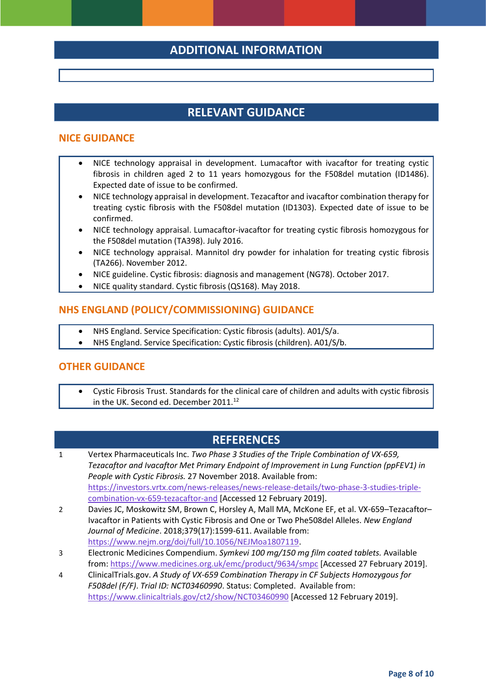## **ADDITIONAL INFORMATION**

## **RELEVANT GUIDANCE**

#### **NICE GUIDANCE**

- NICE technology appraisal in development. Lumacaftor with ivacaftor for treating cystic fibrosis in children aged 2 to 11 years homozygous for the F508del mutation (ID1486). Expected date of issue to be confirmed.
- NICE technology appraisal in development. Tezacaftor and ivacaftor combination therapy for treating cystic fibrosis with the F508del mutation (ID1303). Expected date of issue to be confirmed.
- NICE technology appraisal. Lumacaftor-ivacaftor for treating cystic fibrosis homozygous for the F508del mutation (TA398). July 2016.
- NICE technology appraisal. Mannitol dry powder for inhalation for treating cystic fibrosis (TA266). November 2012.
- NICE guideline. Cystic fibrosis: diagnosis and management (NG78). October 2017.
- NICE quality standard. Cystic fibrosis (QS168). May 2018.

### **NHS ENGLAND (POLICY/COMMISSIONING) GUIDANCE**

- NHS England. Service Specification: Cystic fibrosis (adults). A01/S/a.
- NHS England. Service Specification: Cystic fibrosis (children). A01/S/b.

#### **OTHER GUIDANCE**

 Cystic Fibrosis Trust. Standards for the clinical care of children and adults with cystic fibrosis in the UK. Second ed. December 2011.<sup>12</sup>

## **REFERENCES**

- 1 Vertex Pharmaceuticals Inc. *Two Phase 3 Studies of the Triple Combination of VX-659, Tezacaftor and Ivacaftor Met Primary Endpoint of Improvement in Lung Function (ppFEV1) in People with Cystic Fibrosis.* 27 November 2018. Available from: [https://investors.vrtx.com/news-releases/news-release-details/two-phase-3-studies-triple](https://investors.vrtx.com/news-releases/news-release-details/two-phase-3-studies-triple-combination-vx-659-tezacaftor-and)[combination-vx-659-tezacaftor-and](https://investors.vrtx.com/news-releases/news-release-details/two-phase-3-studies-triple-combination-vx-659-tezacaftor-and) [Accessed 12 February 2019].
- 2 Davies JC, Moskowitz SM, Brown C, Horsley A, Mall MA, McKone EF, et al. VX-659–Tezacaftor– Ivacaftor in Patients with Cystic Fibrosis and One or Two Phe508del Alleles. *New England Journal of Medicine*. 2018;379(17):1599-611. Available from: [https://www.nejm.org/doi/full/10.1056/NEJMoa1807119.](https://www.nejm.org/doi/full/10.1056/NEJMoa1807119)
- 3 Electronic Medicines Compendium. *Symkevi 100 mg/150 mg film coated tablets.* Available from:<https://www.medicines.org.uk/emc/product/9634/smpc> [Accessed 27 February 2019].
- 4 ClinicalTrials.gov. *A Study of VX-659 Combination Therapy in CF Subjects Homozygous for F508del (F/F)*. *Trial ID: NCT03460990*. Status: Completed. Available from: <https://www.clinicaltrials.gov/ct2/show/NCT03460990> [Accessed 12 February 2019].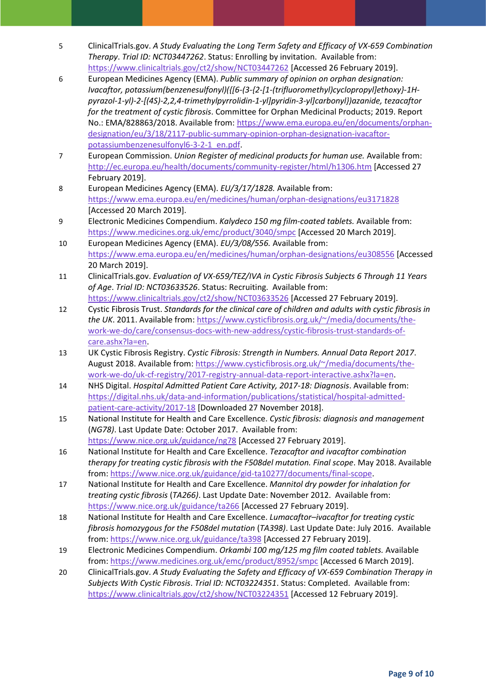- 5 ClinicalTrials.gov. *A Study Evaluating the Long Term Safety and Efficacy of VX-659 Combination Therapy*. *Trial ID: NCT03447262*. Status: Enrolling by invitation. Available from: <https://www.clinicaltrials.gov/ct2/show/NCT03447262> [Accessed 26 February 2019].
- 6 European Medicines Agency (EMA). *Public summary of opinion on orphan designation: Ivacaftor, potassium(benzenesulfonyl)({[6-(3-{2-[1-(trifluoromethyl)cyclopropyl]ethoxy}-1Hpyrazol-1-yl)-2-[(4S)-2,2,4-trimethylpyrrolidin-1-yl]pyridin-3-yl]carbonyl})azanide, tezacaftor for the treatment of cystic fibrosis*. Committee for Orphan Medicinal Products; 2019. Report No.: EMA/828863/2018. Available from: [https://www.ema.europa.eu/en/documents/orphan](https://www.ema.europa.eu/en/documents/orphan-designation/eu/3/18/2117-public-summary-opinion-orphan-designation-ivacaftor-potassiumbenzenesulfonyl6-3-2-1_en.pdf)[designation/eu/3/18/2117-public-summary-opinion-orphan-designation-ivacaftor](https://www.ema.europa.eu/en/documents/orphan-designation/eu/3/18/2117-public-summary-opinion-orphan-designation-ivacaftor-potassiumbenzenesulfonyl6-3-2-1_en.pdf)[potassiumbenzenesulfonyl6-3-2-1\\_en.pdf.](https://www.ema.europa.eu/en/documents/orphan-designation/eu/3/18/2117-public-summary-opinion-orphan-designation-ivacaftor-potassiumbenzenesulfonyl6-3-2-1_en.pdf)
- 7 European Commission. *Union Register of medicinal products for human use.* Available from: <http://ec.europa.eu/health/documents/community-register/html/h1306.htm> [Accessed 27 February 2019].
- 8 European Medicines Agency (EMA). *EU/3/17/1828.* Available from: <https://www.ema.europa.eu/en/medicines/human/orphan-designations/eu3171828> [Accessed 20 March 2019].
- 9 Electronic Medicines Compendium. *Kalydeco 150 mg film-coated tablets.* Available from: <https://www.medicines.org.uk/emc/product/3040/smpc> [Accessed 20 March 2019].
- 10 European Medicines Agency (EMA). *EU/3/08/556.* Available from: <https://www.ema.europa.eu/en/medicines/human/orphan-designations/eu308556> [Accessed 20 March 2019].
- 11 ClinicalTrials.gov. *Evaluation of VX-659/TEZ/IVA in Cystic Fibrosis Subjects 6 Through 11 Years of Age*. *Trial ID: NCT03633526*. Status: Recruiting. Available from: <https://www.clinicaltrials.gov/ct2/show/NCT03633526> [Accessed 27 February 2019].
- 12 Cystic Fibrosis Trust. *Standards for the clinical care of children and adults with cystic fibrosis in the UK*. 2011. Available from: [https://www.cysticfibrosis.org.uk/~/media/documents/the](https://www.cysticfibrosis.org.uk/~/media/documents/the-work-we-do/care/consensus-docs-with-new-address/cystic-fibrosis-trust-standards-of-care.ashx?la=en)[work-we-do/care/consensus-docs-with-new-address/cystic-fibrosis-trust-standards-of](https://www.cysticfibrosis.org.uk/~/media/documents/the-work-we-do/care/consensus-docs-with-new-address/cystic-fibrosis-trust-standards-of-care.ashx?la=en)[care.ashx?la=en.](https://www.cysticfibrosis.org.uk/~/media/documents/the-work-we-do/care/consensus-docs-with-new-address/cystic-fibrosis-trust-standards-of-care.ashx?la=en)
- 13 UK Cystic Fibrosis Registry. *Cystic Fibrosis: Strength in Numbers. Annual Data Report 2017*. August 2018. Available from[: https://www.cysticfibrosis.org.uk/~/media/documents/the](https://www.cysticfibrosis.org.uk/~/media/documents/the-work-we-do/uk-cf-registry/2017-registry-annual-data-report-interactive.ashx?la=en)[work-we-do/uk-cf-registry/2017-registry-annual-data-report-interactive.ashx?la=en.](https://www.cysticfibrosis.org.uk/~/media/documents/the-work-we-do/uk-cf-registry/2017-registry-annual-data-report-interactive.ashx?la=en)
- 14 NHS Digital. *Hospital Admitted Patient Care Activity, 2017-18: Diagnosis*. Available from: [https://digital.nhs.uk/data-and-information/publications/statistical/hospital-admitted](https://digital.nhs.uk/data-and-information/publications/statistical/hospital-admitted-patient-care-activity/2017-18)[patient-care-activity/2017-18](https://digital.nhs.uk/data-and-information/publications/statistical/hospital-admitted-patient-care-activity/2017-18) [Downloaded 27 November 2018].
- 15 National Institute for Health and Care Excellence. *Cystic fibrosis: diagnosis and management* (*NG78)*. Last Update Date: October 2017. Available from: <https://www.nice.org.uk/guidance/ng78> [Accessed 27 February 2019].
- 16 National Institute for Health and Care Excellence. *Tezacaftor and ivacaftor combination therapy for treating cystic fibrosis with the F508del mutation. Final scope*. May 2018. Available from: [https://www.nice.org.uk/guidance/gid-ta10277/documents/final-scope.](https://www.nice.org.uk/guidance/gid-ta10277/documents/final-scope)
- 17 National Institute for Health and Care Excellence. *Mannitol dry powder for inhalation for treating cystic fibrosis* (*TA266)*. Last Update Date: November 2012. Available from: <https://www.nice.org.uk/guidance/ta266> [Accessed 27 February 2019].
- 18 National Institute for Health and Care Excellence. *Lumacaftor–ivacaftor for treating cystic fibrosis homozygous for the F508del mutation* (*TA398)*. Last Update Date: July 2016. Available from:<https://www.nice.org.uk/guidance/ta398> [Accessed 27 February 2019].
- 19 Electronic Medicines Compendium. *Orkambi 100 mg/125 mg film coated tablets.* Available from:<https://www.medicines.org.uk/emc/product/8952/smpc> [Accessed 6 March 2019].
- 20 ClinicalTrials.gov. *A Study Evaluating the Safety and Efficacy of VX-659 Combination Therapy in Subjects With Cystic Fibrosis*. *Trial ID: NCT03224351*. Status: Completed. Available from: <https://www.clinicaltrials.gov/ct2/show/NCT03224351> [Accessed 12 February 2019].